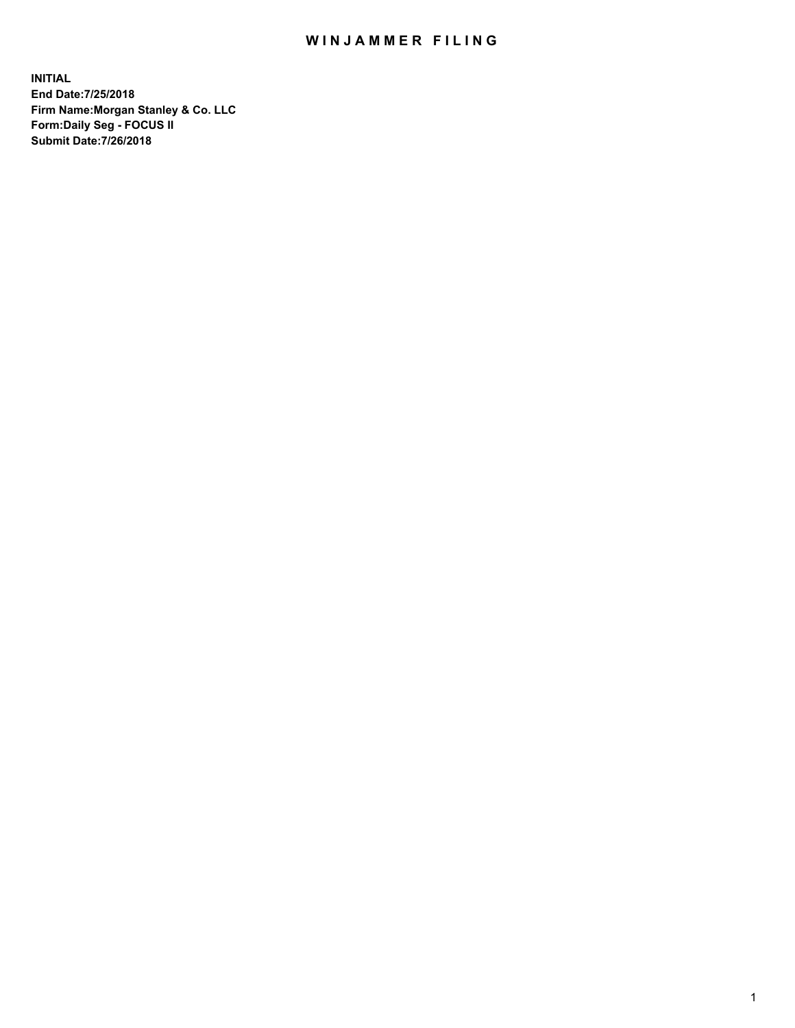## WIN JAMMER FILING

**INITIAL End Date:7/25/2018 Firm Name:Morgan Stanley & Co. LLC Form:Daily Seg - FOCUS II Submit Date:7/26/2018**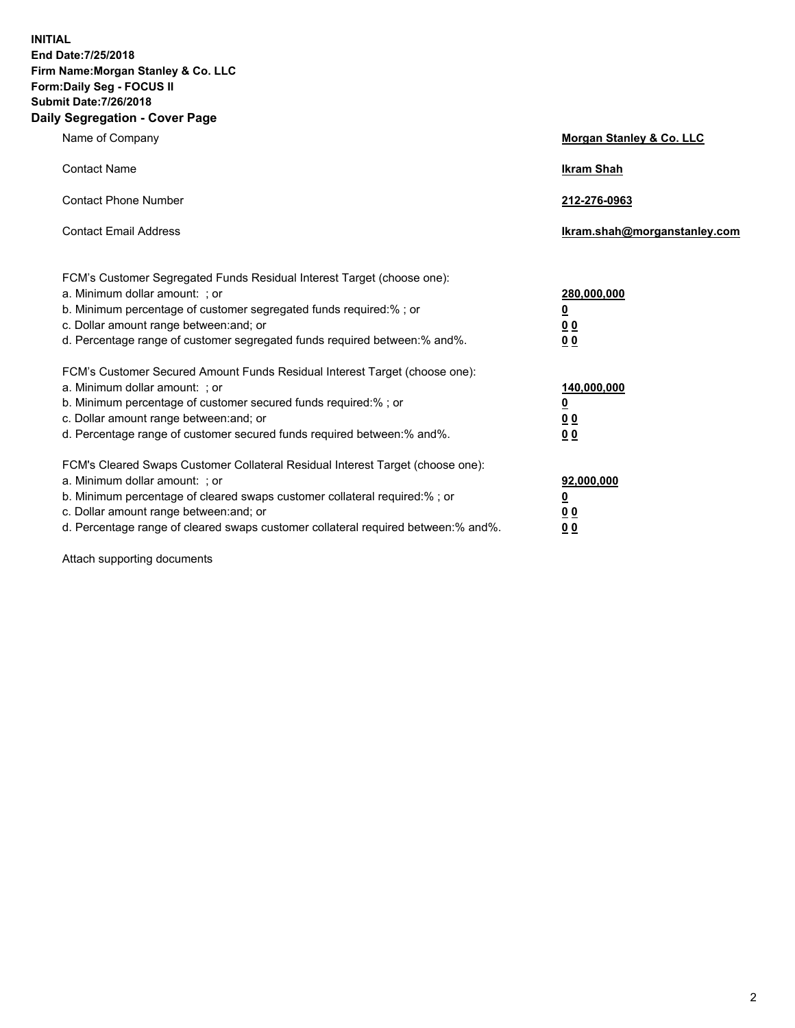**INITIAL End Date:7/25/2018 Firm Name:Morgan Stanley & Co. LLC Form:Daily Seg - FOCUS II Submit Date:7/26/2018 Daily Segregation - Cover Page**

| Name of Company                                                                                                        | Morgan Stanley & Co. LLC     |
|------------------------------------------------------------------------------------------------------------------------|------------------------------|
| <b>Contact Name</b>                                                                                                    | <b>Ikram Shah</b>            |
| <b>Contact Phone Number</b>                                                                                            | 212-276-0963                 |
| <b>Contact Email Address</b>                                                                                           | Ikram.shah@morganstanley.com |
| FCM's Customer Segregated Funds Residual Interest Target (choose one):                                                 |                              |
| a. Minimum dollar amount: ; or                                                                                         | 280,000,000                  |
| b. Minimum percentage of customer segregated funds required:% ; or                                                     | <u>0</u>                     |
| c. Dollar amount range between: and; or<br>d. Percentage range of customer segregated funds required between: % and %. | <u>0 0</u><br>0 Q            |
| FCM's Customer Secured Amount Funds Residual Interest Target (choose one):                                             |                              |
| a. Minimum dollar amount: ; or                                                                                         | 140,000,000                  |
| b. Minimum percentage of customer secured funds required:%; or                                                         | <u>0</u>                     |
| c. Dollar amount range between: and; or                                                                                | 0 <sub>0</sub>               |
| d. Percentage range of customer secured funds required between:% and%.                                                 | 0 <sub>0</sub>               |
| FCM's Cleared Swaps Customer Collateral Residual Interest Target (choose one):                                         |                              |
| a. Minimum dollar amount: ; or                                                                                         | 92,000,000                   |
| b. Minimum percentage of cleared swaps customer collateral required:% ; or                                             | <u>0</u>                     |
| c. Dollar amount range between: and; or                                                                                | 0 Q                          |
| d. Percentage range of cleared swaps customer collateral required between:% and%.                                      | 00                           |

Attach supporting documents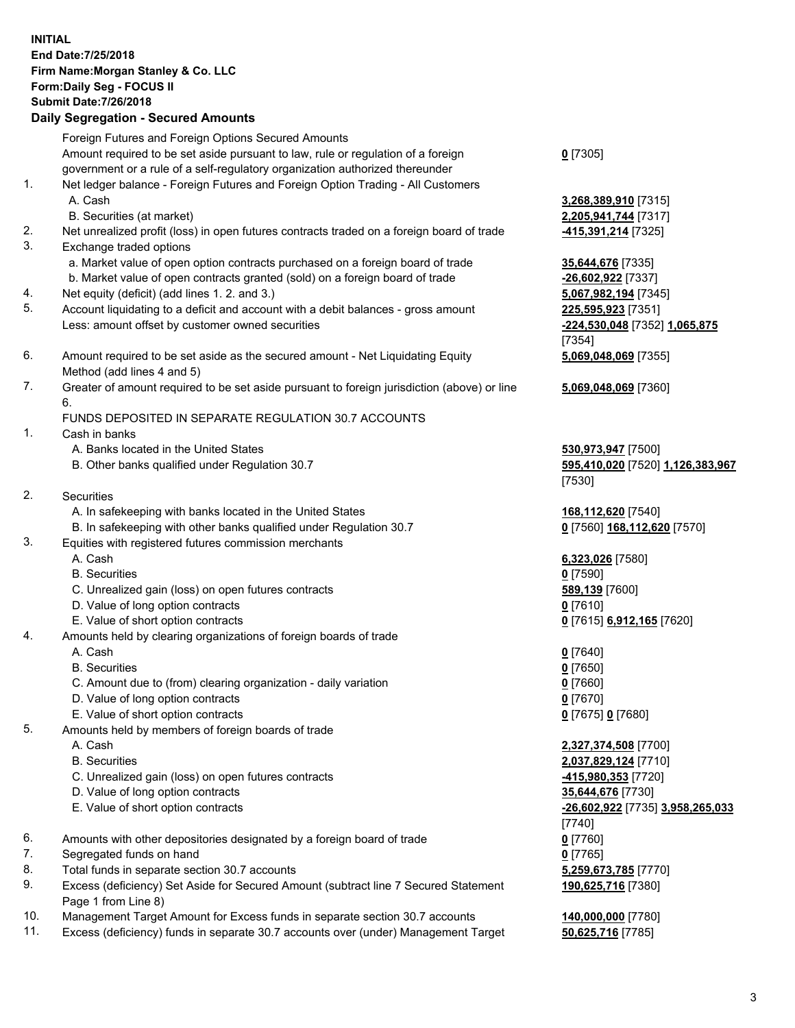## **INITIAL End Date:7/25/2018 Firm Name:Morgan Stanley & Co. LLC Form:Daily Seg - FOCUS II Submit Date:7/26/2018 Daily Segregation - Secured Amounts** Foreign Futures and Foreign Options Secured Amounts Amount required to be set aside pursuant to law, rule or regulation of a foreign government or a rule of a self-regulatory organization authorized thereunder 1. Net ledger balance - Foreign Futures and Foreign Option Trading - All Customers A. Cash **3,268,389,910** [7315] B. Securities (at market) **2,205,941,744** [7317] 2. Net unrealized profit (loss) in open futures contracts traded on a foreign board of trade **-415,391,214** [7325] 3. Exchange traded options a. Market value of open option contracts purchased on a foreign board of trade **35,644,676** [7335] b. Market value of open contracts granted (sold) on a foreign board of trade **-26,602,922** [7337] 4. Net equity (deficit) (add lines 1. 2. and 3.) **5,067,982,194** [7345] 5. Account liquidating to a deficit and account with a debit balances - gross amount **225,595,923** [7351] Less: amount offset by customer owned securities **-224,530,048** [7352] **1,065,875** 6. Amount required to be set aside as the secured amount - Net Liquidating Equity Method (add lines 4 and 5) 7. Greater of amount required to be set aside pursuant to foreign jurisdiction (above) or line 6. FUNDS DEPOSITED IN SEPARATE REGULATION 30.7 ACCOUNTS 1. Cash in banks A. Banks located in the United States **530,973,947** [7500] B. Other banks qualified under Regulation 30.7 **595,410,020** [7520] **1,126,383,967** 2. Securities A. In safekeeping with banks located in the United States **168,112,620** [7540] B. In safekeeping with other banks qualified under Regulation 30.7 **0** [7560] **168,112,620** [7570] 3. Equities with registered futures commission merchants A. Cash **6,323,026** [7580] B. Securities **0** [7590] C. Unrealized gain (loss) on open futures contracts **589,139** [7600] D. Value of long option contracts **0** [7610] E. Value of short option contracts **0** [7615] **6,912,165** [7620] 4. Amounts held by clearing organizations of foreign boards of trade A. Cash **0** [7640] B. Securities **0** [7650] C. Amount due to (from) clearing organization - daily variation **0** [7660] D. Value of long option contracts **0** [7670] E. Value of short option contracts **0** [7675] **0** [7680]

- 5. Amounts held by members of foreign boards of trade
	-
	-
	- C. Unrealized gain (loss) on open futures contracts **-415,980,353** [7720]
	- D. Value of long option contracts **35,644,676** [7730]
	- E. Value of short option contracts **-26,602,922** [7735] **3,958,265,033**
- 6. Amounts with other depositories designated by a foreign board of trade **0** [7760]
- 7. Segregated funds on hand **0** [7765]
- 8. Total funds in separate section 30.7 accounts **5,259,673,785** [7770]
- 9. Excess (deficiency) Set Aside for Secured Amount (subtract line 7 Secured Statement Page 1 from Line 8)
- 10. Management Target Amount for Excess funds in separate section 30.7 accounts **140,000,000** [7780]
- 11. Excess (deficiency) funds in separate 30.7 accounts over (under) Management Target **50,625,716** [7785]

**0** [7305]

[7354] **5,069,048,069** [7355]

**5,069,048,069** [7360]

[7530]

 A. Cash **2,327,374,508** [7700] B. Securities **2,037,829,124** [7710] [7740] **190,625,716** [7380]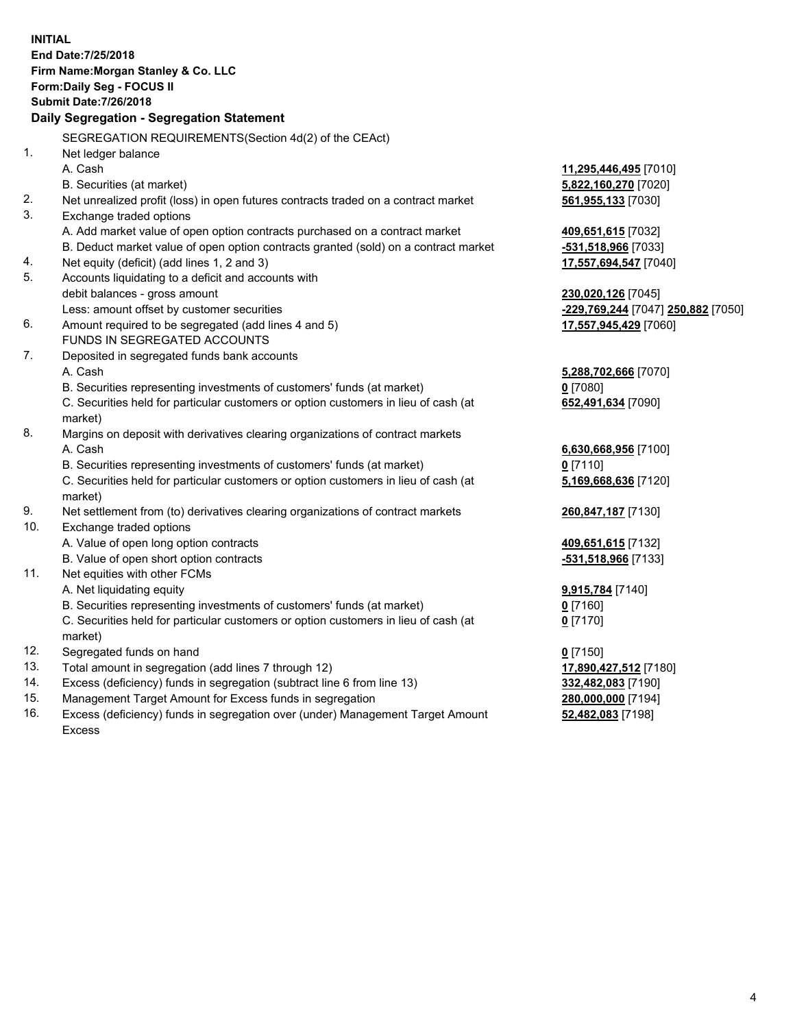**INITIAL End Date:7/25/2018 Firm Name:Morgan Stanley & Co. LLC Form:Daily Seg - FOCUS II Submit Date:7/26/2018 Daily Segregation - Segregation Statement** SEGREGATION REQUIREMENTS(Section 4d(2) of the CEAct) 1. Net ledger balance A. Cash **11,295,446,495** [7010] B. Securities (at market) **5,822,160,270** [7020] 2. Net unrealized profit (loss) in open futures contracts traded on a contract market **561,955,133** [7030] 3. Exchange traded options A. Add market value of open option contracts purchased on a contract market **409,651,615** [7032] B. Deduct market value of open option contracts granted (sold) on a contract market **-531,518,966** [7033] 4. Net equity (deficit) (add lines 1, 2 and 3) **17,557,694,547** [7040] 5. Accounts liquidating to a deficit and accounts with debit balances - gross amount **230,020,126** [7045] Less: amount offset by customer securities **-229,769,244** [7047] **250,882** [7050] 6. Amount required to be segregated (add lines 4 and 5) **17,557,945,429** [7060] FUNDS IN SEGREGATED ACCOUNTS 7. Deposited in segregated funds bank accounts A. Cash **5,288,702,666** [7070] B. Securities representing investments of customers' funds (at market) **0** [7080] C. Securities held for particular customers or option customers in lieu of cash (at market) **652,491,634** [7090] 8. Margins on deposit with derivatives clearing organizations of contract markets A. Cash **6,630,668,956** [7100] B. Securities representing investments of customers' funds (at market) **0** [7110] C. Securities held for particular customers or option customers in lieu of cash (at market) **5,169,668,636** [7120] 9. Net settlement from (to) derivatives clearing organizations of contract markets **260,847,187** [7130] 10. Exchange traded options A. Value of open long option contracts **409,651,615** [7132] B. Value of open short option contracts **-531,518,966** [7133] 11. Net equities with other FCMs A. Net liquidating equity **9,915,784** [7140] B. Securities representing investments of customers' funds (at market) **0** [7160] C. Securities held for particular customers or option customers in lieu of cash (at market) **0** [7170] 12. Segregated funds on hand **0** [7150] 13. Total amount in segregation (add lines 7 through 12) **17,890,427,512** [7180] 14. Excess (deficiency) funds in segregation (subtract line 6 from line 13) **332,482,083** [7190] 15. Management Target Amount for Excess funds in segregation **280,000,000** [7194] 16. Excess (deficiency) funds in segregation over (under) Management Target Amount **52,482,083** [7198]

Excess